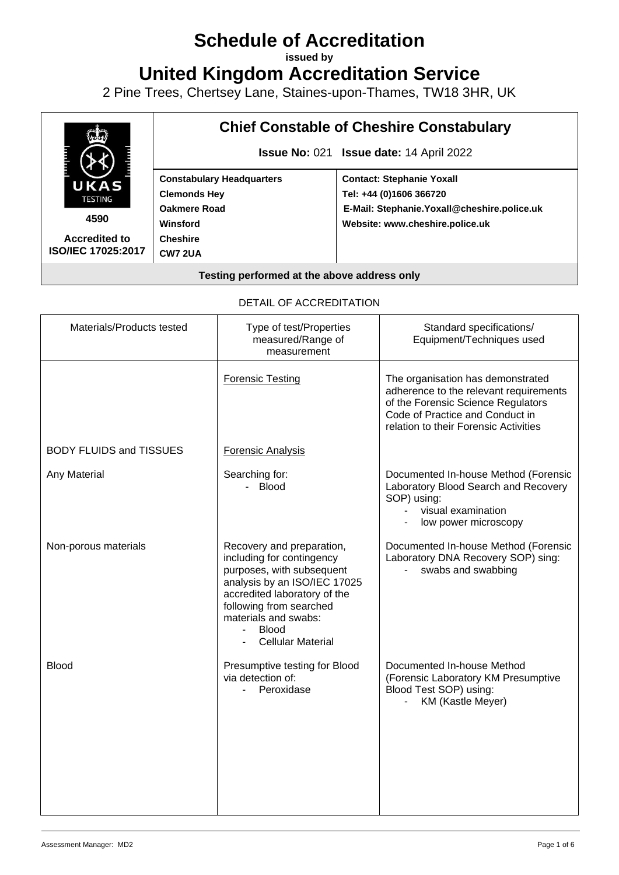# **Schedule of Accreditation**

**issued by**

**United Kingdom Accreditation Service**

2 Pine Trees, Chertsey Lane, Staines-upon-Thames, TW18 3HR, UK



DETAIL OF ACCREDITATION

| Materials/Products tested      | Type of test/Properties<br>measured/Range of<br>measurement                                                                                                                                                                                                  | Standard specifications/<br>Equipment/Techniques used                                                                                                                                         |
|--------------------------------|--------------------------------------------------------------------------------------------------------------------------------------------------------------------------------------------------------------------------------------------------------------|-----------------------------------------------------------------------------------------------------------------------------------------------------------------------------------------------|
|                                | <b>Forensic Testing</b>                                                                                                                                                                                                                                      | The organisation has demonstrated<br>adherence to the relevant requirements<br>of the Forensic Science Regulators<br>Code of Practice and Conduct in<br>relation to their Forensic Activities |
| <b>BODY FLUIDS and TISSUES</b> | <b>Forensic Analysis</b>                                                                                                                                                                                                                                     |                                                                                                                                                                                               |
| Any Material                   | Searching for:<br>- Blood                                                                                                                                                                                                                                    | Documented In-house Method (Forensic<br>Laboratory Blood Search and Recovery<br>SOP) using:<br>visual examination<br>low power microscopy                                                     |
| Non-porous materials           | Recovery and preparation,<br>including for contingency<br>purposes, with subsequent<br>analysis by an ISO/IEC 17025<br>accredited laboratory of the<br>following from searched<br>materials and swabs:<br><b>Blood</b><br>$\sim$<br><b>Cellular Material</b> | Documented In-house Method (Forensic<br>Laboratory DNA Recovery SOP) sing:<br>swabs and swabbing                                                                                              |
| <b>Blood</b>                   | Presumptive testing for Blood<br>via detection of:<br>- Peroxidase                                                                                                                                                                                           | Documented In-house Method<br>(Forensic Laboratory KM Presumptive<br>Blood Test SOP) using:<br>KM (Kastle Meyer)                                                                              |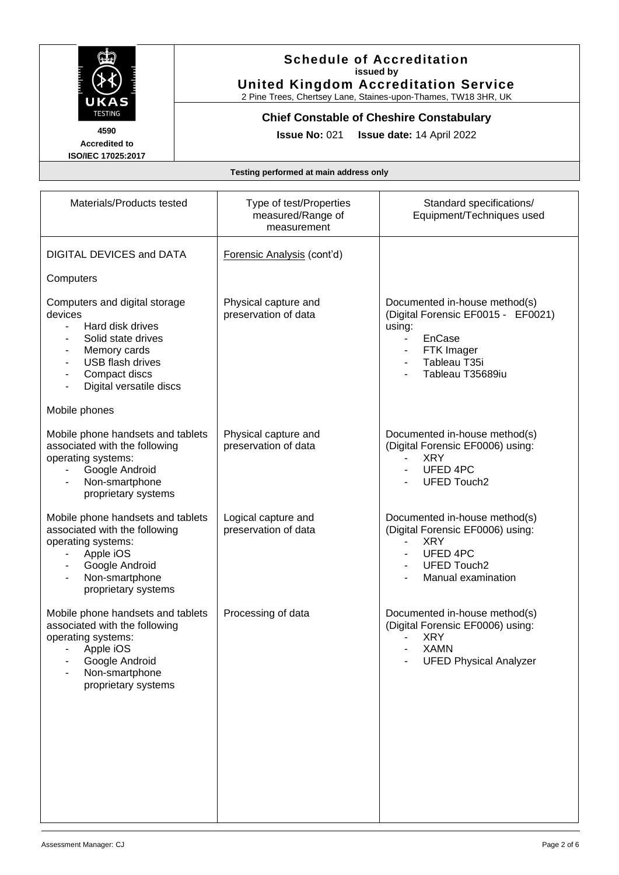

2 Pine Trees, Chertsey Lane, Staines-upon-Thames, TW18 3HR, UK

**Chief Constable of Cheshire Constabulary**

**4590 Accredited to ISO/IEC 17025:2017**

**Issue No:** 021 **Issue date:** 14 April 2022

| Materials/Products tested                                                                                                                                                                    | Type of test/Properties<br>measured/Range of<br>measurement | Standard specifications/<br>Equipment/Techniques used                                                                                                               |
|----------------------------------------------------------------------------------------------------------------------------------------------------------------------------------------------|-------------------------------------------------------------|---------------------------------------------------------------------------------------------------------------------------------------------------------------------|
| <b>DIGITAL DEVICES and DATA</b>                                                                                                                                                              | Forensic Analysis (cont'd)                                  |                                                                                                                                                                     |
| Computers                                                                                                                                                                                    |                                                             |                                                                                                                                                                     |
| Computers and digital storage<br>devices<br>Hard disk drives<br>Solid state drives<br>Memory cards<br>USB flash drives<br>Compact discs<br>Digital versatile discs                           | Physical capture and<br>preservation of data                | Documented in-house method(s)<br>(Digital Forensic EF0015 - EF0021)<br>using:<br>EnCase<br>FTK Imager<br>Tableau T35i<br>Tableau T35689iu                           |
| Mobile phones                                                                                                                                                                                |                                                             |                                                                                                                                                                     |
| Mobile phone handsets and tablets<br>associated with the following<br>operating systems:<br>Google Android<br>Non-smartphone<br>proprietary systems                                          | Physical capture and<br>preservation of data                | Documented in-house method(s)<br>(Digital Forensic EF0006) using:<br><b>XRY</b><br><b>UFED 4PC</b><br><b>UFED Touch2</b>                                            |
| Mobile phone handsets and tablets<br>associated with the following<br>operating systems:<br>Apple iOS<br>$\overline{\phantom{a}}$<br>Google Android<br>Non-smartphone<br>proprietary systems | Logical capture and<br>preservation of data                 | Documented in-house method(s)<br>(Digital Forensic EF0006) using:<br><b>XRY</b><br>$\overline{\phantom{0}}$<br>UFED 4PC<br><b>UFED Touch2</b><br>Manual examination |
| Mobile phone handsets and tablets<br>associated with the following<br>operating systems:<br>Apple iOS<br>Google Android<br>Non-smartphone<br>proprietary systems                             | Processing of data                                          | Documented in-house method(s)<br>(Digital Forensic EF0006) using:<br><b>XRY</b><br><b>XAMN</b><br><b>UFED Physical Analyzer</b>                                     |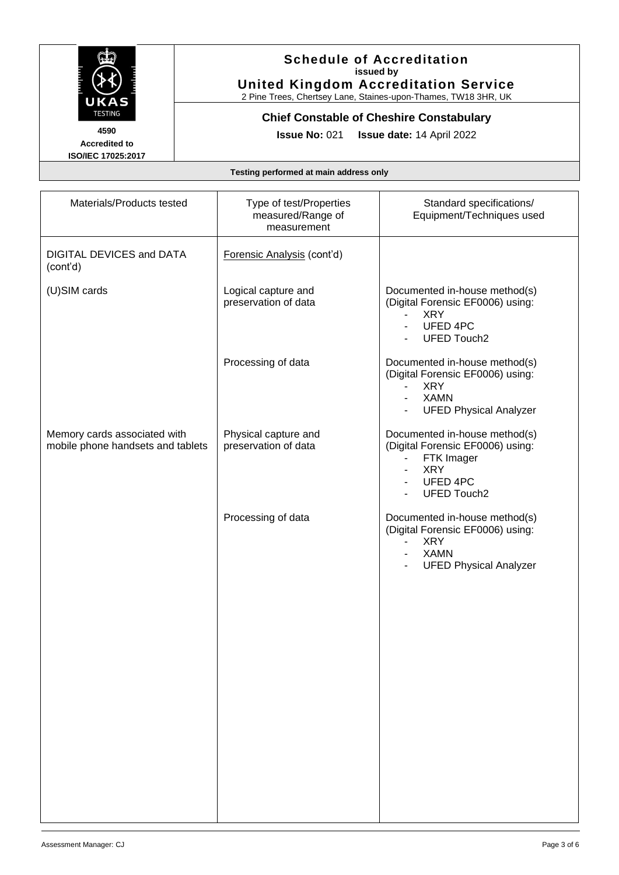

2 Pine Trees, Chertsey Lane, Staines-upon-Thames, TW18 3HR, UK

**Chief Constable of Cheshire Constabulary**

**4590 Accredited to ISO/IEC 17025:2017**

**Issue No:** 021 **Issue date:** 14 April 2022

| Materials/Products tested                                         | Type of test/Properties<br>measured/Range of<br>measurement | Standard specifications/<br>Equipment/Techniques used                                                                                                       |
|-------------------------------------------------------------------|-------------------------------------------------------------|-------------------------------------------------------------------------------------------------------------------------------------------------------------|
| DIGITAL DEVICES and DATA<br>(cont'd)                              | Forensic Analysis (cont'd)                                  |                                                                                                                                                             |
| (U)SIM cards                                                      | Logical capture and<br>preservation of data                 | Documented in-house method(s)<br>(Digital Forensic EF0006) using:<br><b>XRY</b><br>$\blacksquare$<br>UFED 4PC<br><b>UFED Touch2</b>                         |
|                                                                   | Processing of data                                          | Documented in-house method(s)<br>(Digital Forensic EF0006) using:<br><b>XRY</b><br>$\blacksquare$<br><b>XAMN</b><br><b>UFED Physical Analyzer</b>           |
| Memory cards associated with<br>mobile phone handsets and tablets | Physical capture and<br>preservation of data                | Documented in-house method(s)<br>(Digital Forensic EF0006) using:<br>FTK Imager<br><b>XRY</b><br>UFED 4PC<br><b>UFED Touch2</b>                             |
|                                                                   | Processing of data                                          | Documented in-house method(s)<br>(Digital Forensic EF0006) using:<br><b>XRY</b><br>$\overline{\phantom{a}}$<br><b>XAMN</b><br><b>UFED Physical Analyzer</b> |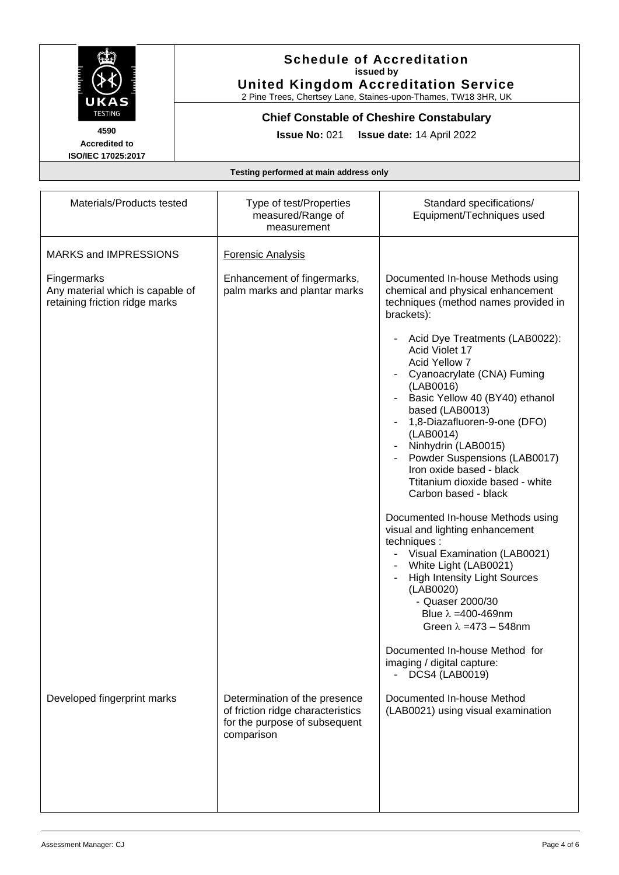

2 Pine Trees, Chertsey Lane, Staines-upon-Thames, TW18 3HR, UK

# **Chief Constable of Cheshire Constabulary**

**4590 Accredited to ISO/IEC 17025:2017**

**Issue No:** 021 **Issue date:** 14 April 2022

| Materials/Products tested                                                         | Type of test/Properties<br>measured/Range of<br>measurement                                                       | Standard specifications/<br>Equipment/Techniques used                                                                                                                                                                                                                                                                                                        |
|-----------------------------------------------------------------------------------|-------------------------------------------------------------------------------------------------------------------|--------------------------------------------------------------------------------------------------------------------------------------------------------------------------------------------------------------------------------------------------------------------------------------------------------------------------------------------------------------|
| <b>MARKS and IMPRESSIONS</b>                                                      | <b>Forensic Analysis</b>                                                                                          |                                                                                                                                                                                                                                                                                                                                                              |
| Fingermarks<br>Any material which is capable of<br>retaining friction ridge marks | Enhancement of fingermarks,<br>palm marks and plantar marks                                                       | Documented In-house Methods using<br>chemical and physical enhancement<br>techniques (method names provided in<br>brackets):                                                                                                                                                                                                                                 |
|                                                                                   |                                                                                                                   | Acid Dye Treatments (LAB0022):<br>Acid Violet 17<br>Acid Yellow 7<br>Cyanoacrylate (CNA) Fuming<br>(LAB0016)<br>Basic Yellow 40 (BY40) ethanol<br>based (LAB0013)<br>1,8-Diazafluoren-9-one (DFO)<br>(LAB0014)<br>Ninhydrin (LAB0015)<br>Powder Suspensions (LAB0017)<br>Iron oxide based - black<br>Ttitanium dioxide based - white<br>Carbon based - black |
|                                                                                   |                                                                                                                   | Documented In-house Methods using<br>visual and lighting enhancement<br>techniques :<br>Visual Examination (LAB0021)<br>White Light (LAB0021)<br><b>High Intensity Light Sources</b><br>(LAB0020)<br>- Quaser 2000/30<br>Blue $\lambda = 400 - 469$ nm<br>Green $\lambda = 473 - 548$ nm                                                                     |
|                                                                                   |                                                                                                                   | Documented In-house Method for<br>imaging / digital capture:<br><b>DCS4 (LAB0019)</b>                                                                                                                                                                                                                                                                        |
| Developed fingerprint marks                                                       | Determination of the presence<br>of friction ridge characteristics<br>for the purpose of subsequent<br>comparison | Documented In-house Method<br>(LAB0021) using visual examination                                                                                                                                                                                                                                                                                             |
|                                                                                   |                                                                                                                   |                                                                                                                                                                                                                                                                                                                                                              |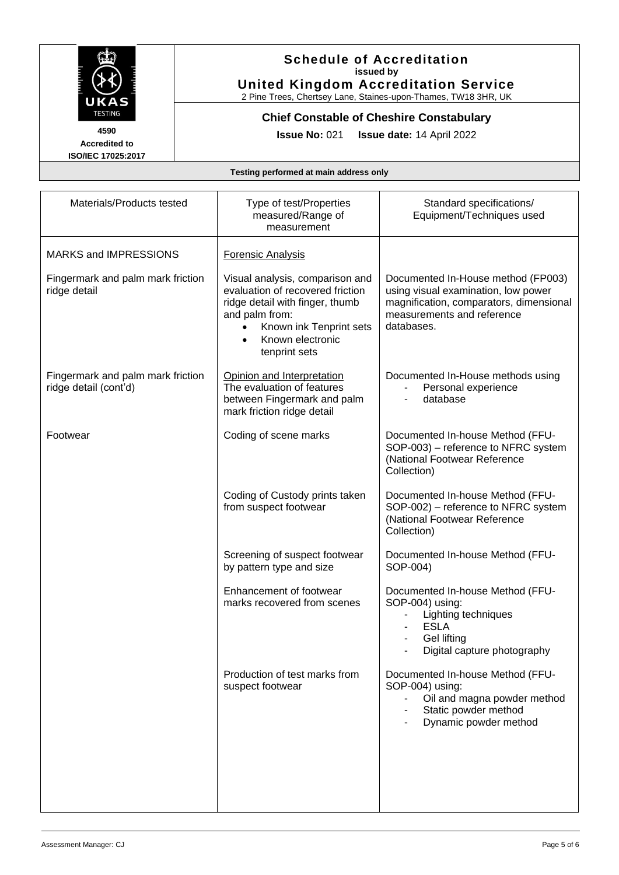

2 Pine Trees, Chertsey Lane, Staines-upon-Thames, TW18 3HR, UK

**Chief Constable of Cheshire Constabulary**

**Accredited to**

**Issue No:** 021 **Issue date:** 14 April 2022

**ISO/IEC 17025:2017**

| Materials/Products tested                                  | Type of test/Properties<br>measured/Range of<br>measurement                                                                                                                                                        | Standard specifications/<br>Equipment/Techniques used                                                                                                            |
|------------------------------------------------------------|--------------------------------------------------------------------------------------------------------------------------------------------------------------------------------------------------------------------|------------------------------------------------------------------------------------------------------------------------------------------------------------------|
| <b>MARKS and IMPRESSIONS</b>                               | <b>Forensic Analysis</b>                                                                                                                                                                                           |                                                                                                                                                                  |
| Fingermark and palm mark friction<br>ridge detail          | Visual analysis, comparison and<br>evaluation of recovered friction<br>ridge detail with finger, thumb<br>and palm from:<br>Known ink Tenprint sets<br>$\bullet$<br>Known electronic<br>$\bullet$<br>tenprint sets | Documented In-House method (FP003)<br>using visual examination, low power<br>magnification, comparators, dimensional<br>measurements and reference<br>databases. |
| Fingermark and palm mark friction<br>ridge detail (cont'd) | Opinion and Interpretation<br>The evaluation of features<br>between Fingermark and palm<br>mark friction ridge detail                                                                                              | Documented In-House methods using<br>Personal experience<br>database                                                                                             |
| Footwear                                                   | Coding of scene marks                                                                                                                                                                                              | Documented In-house Method (FFU-<br>SOP-003) – reference to NFRC system<br>(National Footwear Reference<br>Collection)                                           |
|                                                            | Coding of Custody prints taken<br>from suspect footwear                                                                                                                                                            | Documented In-house Method (FFU-<br>SOP-002) – reference to NFRC system<br>(National Footwear Reference<br>Collection)                                           |
|                                                            | Screening of suspect footwear<br>by pattern type and size                                                                                                                                                          | Documented In-house Method (FFU-<br>SOP-004)                                                                                                                     |
|                                                            | Enhancement of footwear<br>marks recovered from scenes                                                                                                                                                             | Documented In-house Method (FFU-<br>SOP-004) using:<br>Lighting techniques<br><b>ESLA</b><br>Gel lifting<br>Digital capture photography                          |
|                                                            | Production of test marks from<br>suspect footwear                                                                                                                                                                  | Documented In-house Method (FFU-<br>SOP-004) using:<br>Oil and magna powder method<br>Static powder method<br>Dynamic powder method                              |
|                                                            |                                                                                                                                                                                                                    |                                                                                                                                                                  |